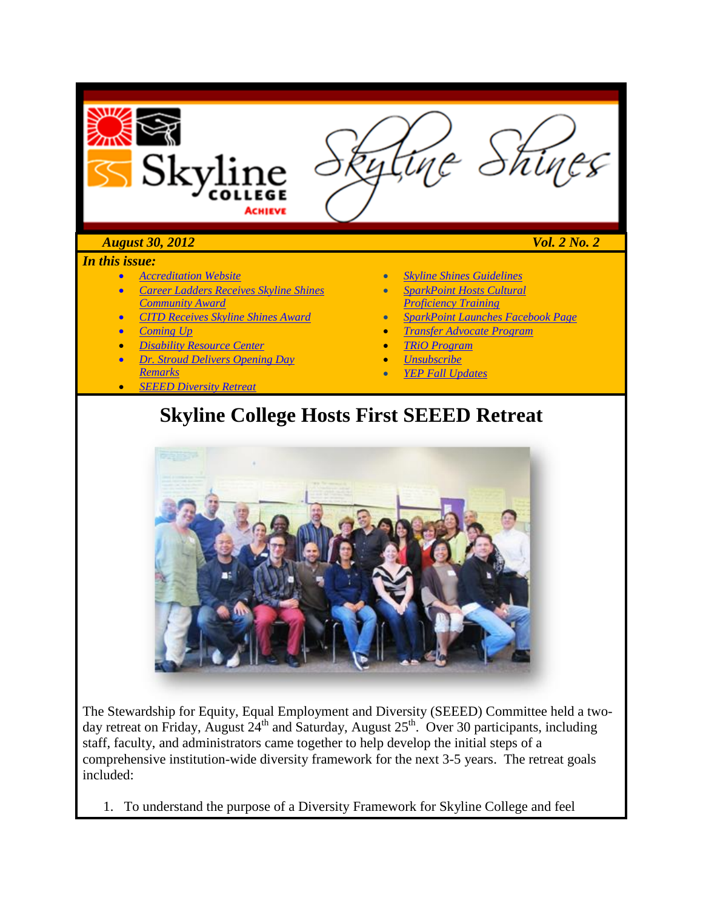

#### *In this issue:*

- *[Accreditation Website](#page-2-0)*
- *[Career Ladders Receives Skyline Shines](#page-15-0)  [Community Award](#page-15-0)*
- *CITD Receives Skyline Shines Award*

#### • *[Coming Up](#page-17-0)*

- *[Disability Resource Center](#page-16-0)*
- *[Dr. Stroud Delivers Opening Day](#page-2-1)  [Remarks](#page-2-1)*
- *SEEED Diversity Retreat*
- *[Skyline Shines Guidelines](#page-19-0)*
- *SparkPoint Hosts Cultural Proficiency Training*
- *SparkPoint Launches Facebook Page*
- *Transfer Advocate Program*
- *TRiO Program*
- *[Unsubscribe](#page-20-0)*
- *YEP Fall Updates*

### **Skyline College Hosts First SEEED Retreat**



The Stewardship for Equity, Equal Employment and Diversity (SEEED) Committee held a twoday retreat on Friday, August 24<sup>th</sup> and Saturday, August 25<sup>th</sup>. Over 30 participants, including staff, faculty, and administrators came together to help develop the initial steps of a comprehensive institution-wide diversity framework for the next 3-5 years. The retreat goals included:

1. To understand the purpose of a Diversity Framework for Skyline College and feel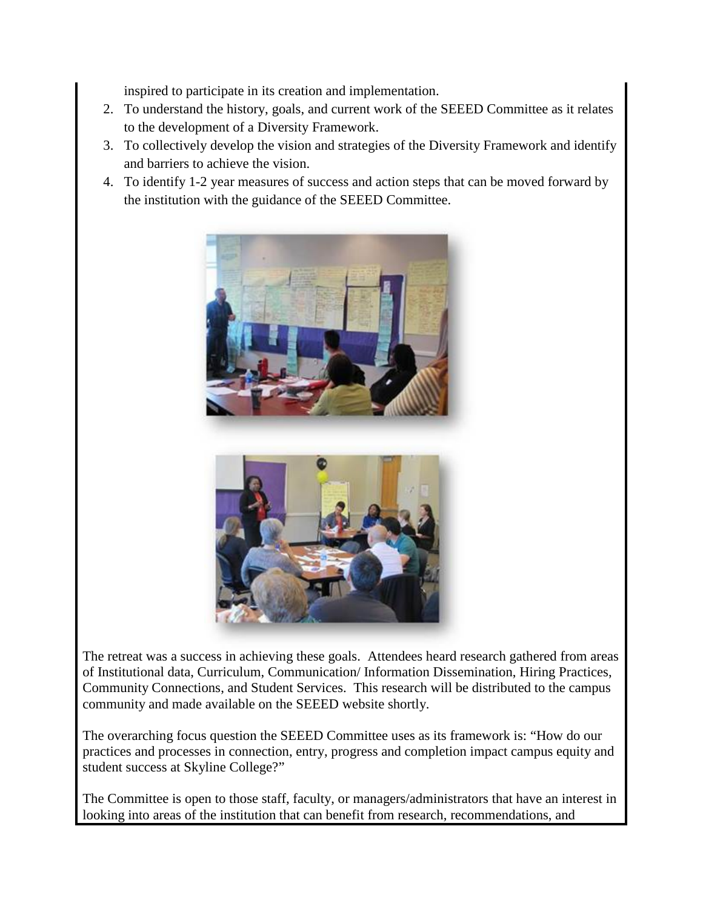inspired to participate in its creation and implementation.

- 2. To understand the history, goals, and current work of the SEEED Committee as it relates to the development of a Diversity Framework.
- 3. To collectively develop the vision and strategies of the Diversity Framework and identify and barriers to achieve the vision.
- 4. To identify 1-2 year measures of success and action steps that can be moved forward by the institution with the guidance of the SEEED Committee.





The retreat was a success in achieving these goals. Attendees heard research gathered from areas of Institutional data, Curriculum, Communication/ Information Dissemination, Hiring Practices, Community Connections, and Student Services. This research will be distributed to the campus community and made available on the SEEED website shortly.

The overarching focus question the SEEED Committee uses as its framework is: "How do our practices and processes in connection, entry, progress and completion impact campus equity and student success at Skyline College?"

The Committee is open to those staff, faculty, or managers/administrators that have an interest in looking into areas of the institution that can benefit from research, recommendations, and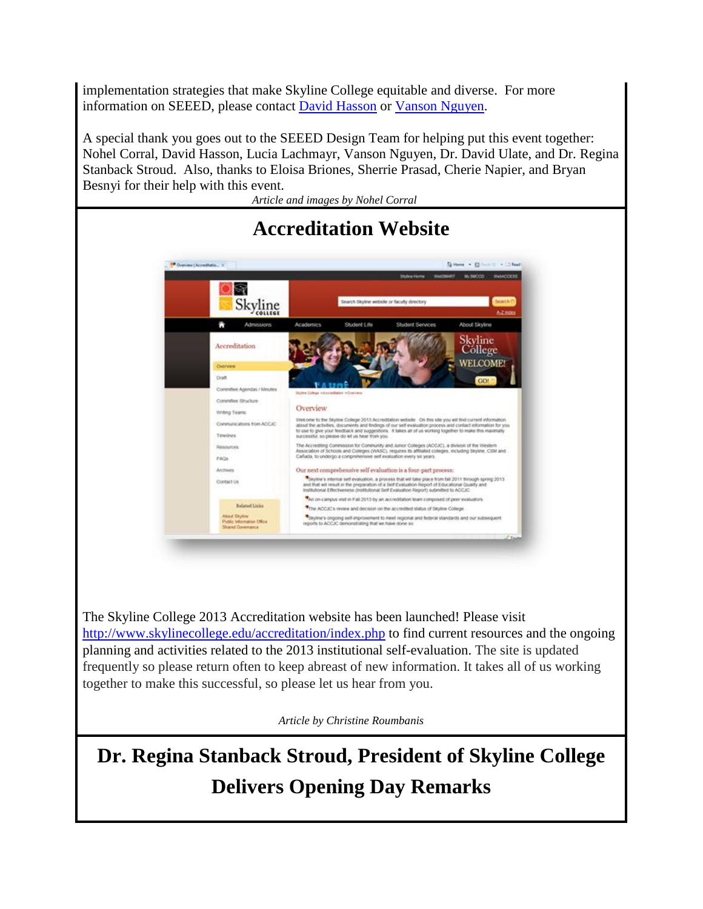implementation strategies that make Skyline College equitable and diverse. For more information on SEEED, please contact [David Hasson](mailto:hassond@smccd.edu) or [Vanson Nguyen.](mailto:nguyenv@smccd.edu)

A special thank you goes out to the SEEED Design Team for helping put this event together: Nohel Corral, David Hasson, Lucia Lachmayr, Vanson Nguyen, Dr. David Ulate, and Dr. Regina Stanback Stroud. Also, thanks to Eloisa Briones, Sherrie Prasad, Cherie Napier, and Bryan Besnyi for their help with this event.

*Article and images by Nohel Corral*

<span id="page-2-0"></span>

The Skyline College 2013 Accreditation website has been launched! Please visit <http://www.skylinecollege.edu/accreditation/index.php> to find current resources and the ongoing planning and activities related to the 2013 institutional self-evaluation. The site is updated frequently so please return often to keep abreast of new information. It takes all of us working together to make this successful, so please let us hear from you.

*Article by Christine Roumbanis*

<span id="page-2-1"></span>**Dr. Regina Stanback Stroud, President of Skyline College Delivers Opening Day Remarks**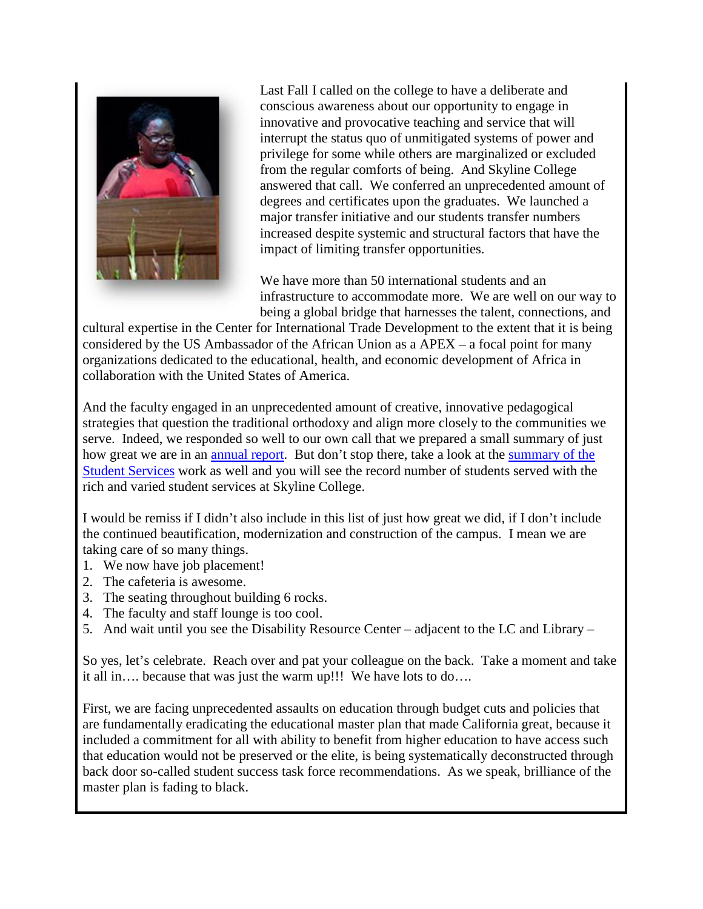

Last Fall I called on the college to have a deliberate and conscious awareness about our opportunity to engage in innovative and provocative teaching and service that will interrupt the status quo of unmitigated systems of power and privilege for some while others are marginalized or excluded from the regular comforts of being. And Skyline College answered that call. We conferred an unprecedented amount of degrees and certificates upon the graduates. We launched a major transfer initiative and our students transfer numbers increased despite systemic and structural factors that have the impact of limiting transfer opportunities.

We have more than 50 international students and an infrastructure to accommodate more. We are well on our way to being a global bridge that harnesses the talent, connections, and

cultural expertise in the Center for International Trade Development to the extent that it is being considered by the US Ambassador of the African Union as a APEX – a focal point for many organizations dedicated to the educational, health, and economic development of Africa in collaboration with the United States of America.

And the faculty engaged in an unprecedented amount of creative, innovative pedagogical strategies that question the traditional orthodoxy and align more closely to the communities we serve. Indeed, we responded so well to our own call that we prepared a small summary of just how great we are in an [annual report.](http://issuu.com/skylinecollege/docs/annualreport20112012?mode=window&backgroundColor=%23222222) But don't stop there, take a look at the [summary of the](http://www.skylinecollege.edu/prie/assets/Spring_Summer%202012%20Executive%20Summary.pdf)  [Student Services](http://www.skylinecollege.edu/prie/assets/Spring_Summer%202012%20Executive%20Summary.pdf) work as well and you will see the record number of students served with the rich and varied student services at Skyline College.

I would be remiss if I didn't also include in this list of just how great we did, if I don't include the continued beautification, modernization and construction of the campus. I mean we are taking care of so many things.

- 1. We now have job placement!
- 2. The cafeteria is awesome.
- 3. The seating throughout building 6 rocks.
- 4. The faculty and staff lounge is too cool.
- 5. And wait until you see the Disability Resource Center adjacent to the LC and Library –

So yes, let's celebrate. Reach over and pat your colleague on the back. Take a moment and take it all in…. because that was just the warm up!!! We have lots to do….

First, we are facing unprecedented assaults on education through budget cuts and policies that are fundamentally eradicating the educational master plan that made California great, because it included a commitment for all with ability to benefit from higher education to have access such that education would not be preserved or the elite, is being systematically deconstructed through back door so-called student success task force recommendations. As we speak, brilliance of the master plan is fading to black.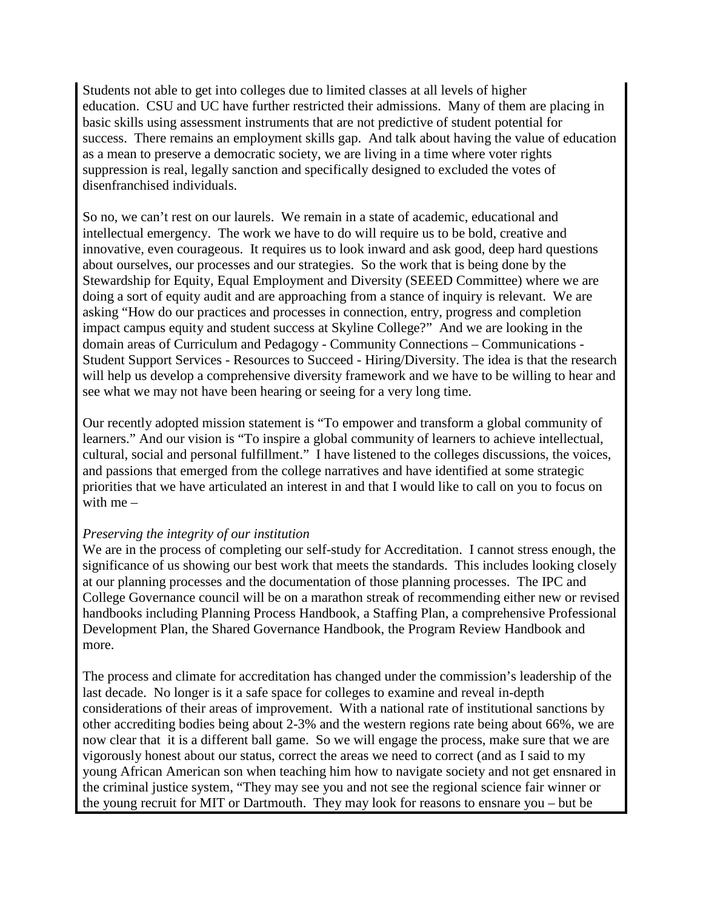Students not able to get into colleges due to limited classes at all levels of higher education. CSU and UC have further restricted their admissions. Many of them are placing in basic skills using assessment instruments that are not predictive of student potential for success. There remains an employment skills gap. And talk about having the value of education as a mean to preserve a democratic society, we are living in a time where voter rights suppression is real, legally sanction and specifically designed to excluded the votes of disenfranchised individuals.

So no, we can't rest on our laurels. We remain in a state of academic, educational and intellectual emergency. The work we have to do will require us to be bold, creative and innovative, even courageous. It requires us to look inward and ask good, deep hard questions about ourselves, our processes and our strategies. So the work that is being done by the Stewardship for Equity, Equal Employment and Diversity (SEEED Committee) where we are doing a sort of equity audit and are approaching from a stance of inquiry is relevant. We are asking "How do our practices and processes in connection, entry, progress and completion impact campus equity and student success at Skyline College?" And we are looking in the domain areas of Curriculum and Pedagogy - Community Connections – Communications - Student Support Services - Resources to Succeed - Hiring/Diversity. The idea is that the research will help us develop a comprehensive diversity framework and we have to be willing to hear and see what we may not have been hearing or seeing for a very long time.

Our recently adopted mission statement is "To empower and transform a global community of learners." And our vision is "To inspire a global community of learners to achieve intellectual, cultural, social and personal fulfillment." I have listened to the colleges discussions, the voices, and passions that emerged from the college narratives and have identified at some strategic priorities that we have articulated an interest in and that I would like to call on you to focus on with me –

#### *Preserving the integrity of our institution*

We are in the process of completing our self-study for Accreditation. I cannot stress enough, the significance of us showing our best work that meets the standards. This includes looking closely at our planning processes and the documentation of those planning processes. The IPC and College Governance council will be on a marathon streak of recommending either new or revised handbooks including Planning Process Handbook, a Staffing Plan, a comprehensive Professional Development Plan, the Shared Governance Handbook, the Program Review Handbook and more.

The process and climate for accreditation has changed under the commission's leadership of the last decade. No longer is it a safe space for colleges to examine and reveal in-depth considerations of their areas of improvement. With a national rate of institutional sanctions by other accrediting bodies being about 2-3% and the western regions rate being about 66%, we are now clear that it is a different ball game. So we will engage the process, make sure that we are vigorously honest about our status, correct the areas we need to correct (and as I said to my young African American son when teaching him how to navigate society and not get ensnared in the criminal justice system, "They may see you and not see the regional science fair winner or the young recruit for MIT or Dartmouth. They may look for reasons to ensnare you – but be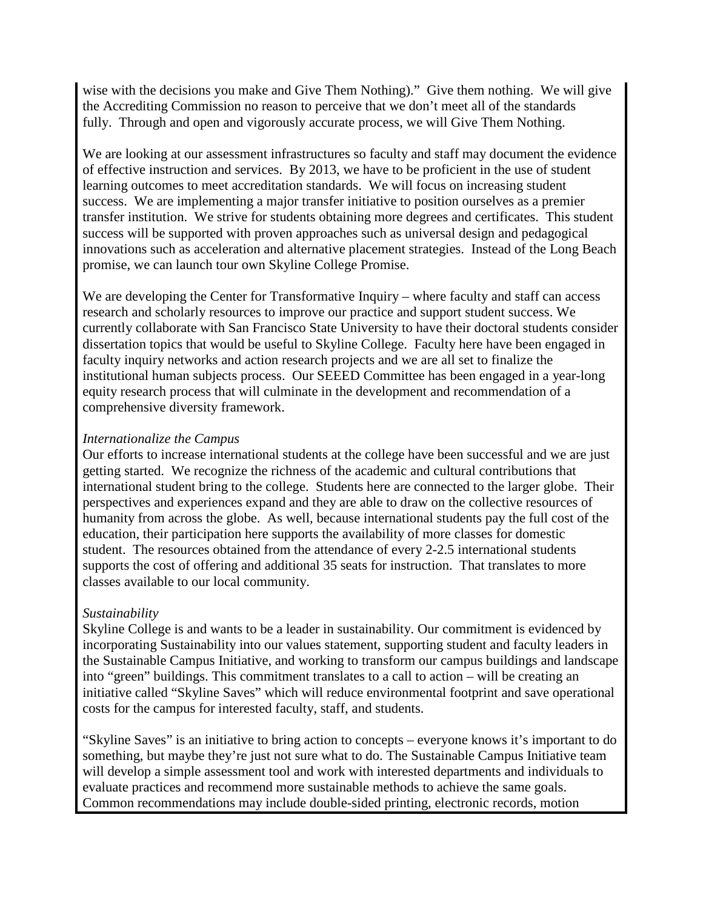wise with the decisions you make and Give Them Nothing)." Give them nothing. We will give the Accrediting Commission no reason to perceive that we don't meet all of the standards fully. Through and open and vigorously accurate process, we will Give Them Nothing.

We are looking at our assessment infrastructures so faculty and staff may document the evidence of effective instruction and services. By 2013, we have to be proficient in the use of student learning outcomes to meet accreditation standards. We will focus on increasing student success. We are implementing a major transfer initiative to position ourselves as a premier transfer institution. We strive for students obtaining more degrees and certificates. This student success will be supported with proven approaches such as universal design and pedagogical innovations such as acceleration and alternative placement strategies. Instead of the Long Beach promise, we can launch tour own Skyline College Promise.

We are developing the Center for Transformative Inquiry – where faculty and staff can access research and scholarly resources to improve our practice and support student success. We currently collaborate with San Francisco State University to have their doctoral students consider dissertation topics that would be useful to Skyline College. Faculty here have been engaged in faculty inquiry networks and action research projects and we are all set to finalize the institutional human subjects process. Our SEEED Committee has been engaged in a year-long equity research process that will culminate in the development and recommendation of a comprehensive diversity framework.

#### *Internationalize the Campus*

Our efforts to increase international students at the college have been successful and we are just getting started. We recognize the richness of the academic and cultural contributions that international student bring to the college. Students here are connected to the larger globe. Their perspectives and experiences expand and they are able to draw on the collective resources of humanity from across the globe. As well, because international students pay the full cost of the education, their participation here supports the availability of more classes for domestic student. The resources obtained from the attendance of every 2-2.5 international students supports the cost of offering and additional 35 seats for instruction. That translates to more classes available to our local community.

### *Sustainability*

Skyline College is and wants to be a leader in sustainability. Our commitment is evidenced by incorporating Sustainability into our values statement, supporting student and faculty leaders in the Sustainable Campus Initiative, and working to transform our campus buildings and landscape into "green" buildings. This commitment translates to a call to action – will be creating an initiative called "Skyline Saves" which will reduce environmental footprint and save operational costs for the campus for interested faculty, staff, and students.

"Skyline Saves" is an initiative to bring action to concepts – everyone knows it's important to do something, but maybe they're just not sure what to do. The Sustainable Campus Initiative team will develop a simple assessment tool and work with interested departments and individuals to evaluate practices and recommend more sustainable methods to achieve the same goals. Common recommendations may include double-sided printing, electronic records, motion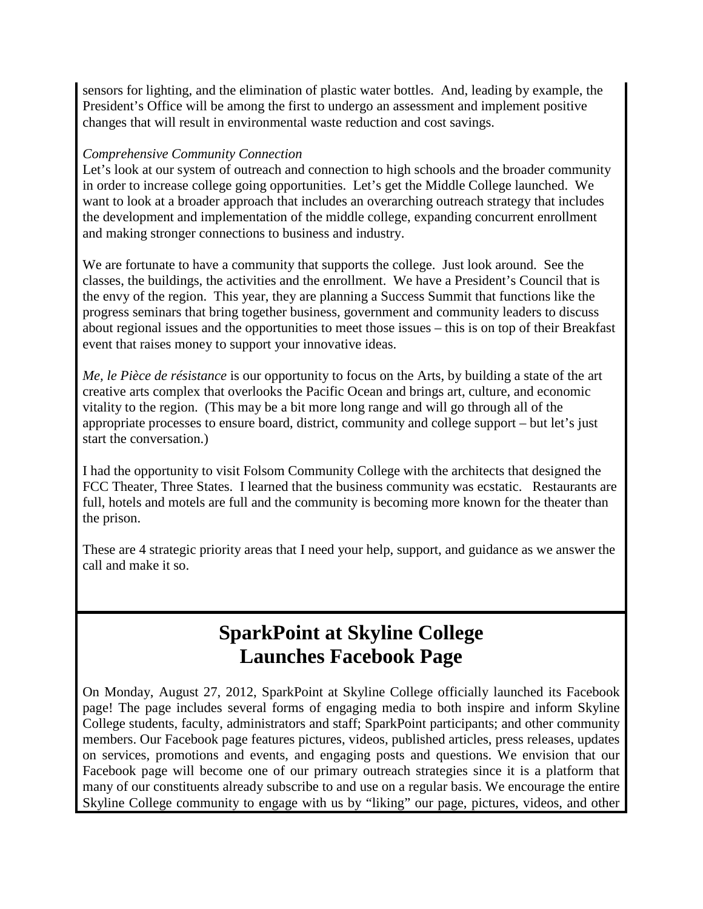sensors for lighting, and the elimination of plastic water bottles. And, leading by example, the President's Office will be among the first to undergo an assessment and implement positive changes that will result in environmental waste reduction and cost savings.

#### *Comprehensive Community Connection*

Let's look at our system of outreach and connection to high schools and the broader community in order to increase college going opportunities. Let's get the Middle College launched. We want to look at a broader approach that includes an overarching outreach strategy that includes the development and implementation of the middle college, expanding concurrent enrollment and making stronger connections to business and industry.

We are fortunate to have a community that supports the college. Just look around. See the classes, the buildings, the activities and the enrollment. We have a President's Council that is the envy of the region. This year, they are planning a Success Summit that functions like the progress seminars that bring together business, government and community leaders to discuss about regional issues and the opportunities to meet those issues – this is on top of their Breakfast event that raises money to support your innovative ideas.

*Me, le Pièce de résistance* is our opportunity to focus on the Arts, by building a state of the art creative arts complex that overlooks the Pacific Ocean and brings art, culture, and economic vitality to the region. (This may be a bit more long range and will go through all of the appropriate processes to ensure board, district, community and college support – but let's just start the conversation.)

I had the opportunity to visit Folsom Community College with the architects that designed the FCC Theater, Three States. I learned that the business community was ecstatic. Restaurants are full, hotels and motels are full and the community is becoming more known for the theater than the prison.

These are 4 strategic priority areas that I need your help, support, and guidance as we answer the call and make it so.

# **SparkPoint at Skyline College Launches Facebook Page**

On Monday, August 27, 2012, SparkPoint at Skyline College officially launched its Facebook page! The page includes several forms of engaging media to both inspire and inform Skyline College students, faculty, administrators and staff; SparkPoint participants; and other community members. Our Facebook page features pictures, videos, published articles, press releases, updates on services, promotions and events, and engaging posts and questions. We envision that our Facebook page will become one of our primary outreach strategies since it is a platform that many of our constituents already subscribe to and use on a regular basis. We encourage the entire Skyline College community to engage with us by "liking" our page, pictures, videos, and other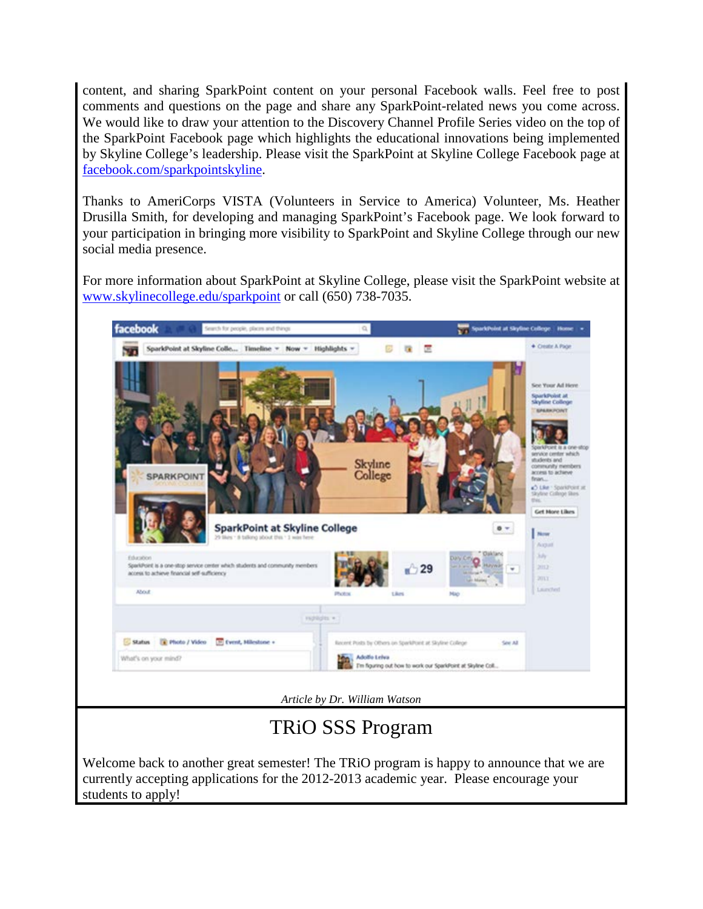content, and sharing SparkPoint content on your personal Facebook walls. Feel free to post comments and questions on the page and share any SparkPoint-related news you come across. We would like to draw your attention to the Discovery Channel Profile Series video on the top of the SparkPoint Facebook page which highlights the educational innovations being implemented by Skyline College's leadership. Please visit the SparkPoint at Skyline College Facebook page at [facebook.com/sparkpointskyline.](http://facebook.com/sparkpointskyline)

Thanks to AmeriCorps VISTA (Volunteers in Service to America) Volunteer, Ms. Heather Drusilla Smith, for developing and managing SparkPoint's Facebook page. We look forward to your participation in bringing more visibility to SparkPoint and Skyline College through our new social media presence.

For more information about SparkPoint at Skyline College, please visit the SparkPoint website at [www.skylinecollege.edu/sparkpoint](http://www.skylinecollege.edu/sparkpoint) or call (650) 738-7035.



students to apply!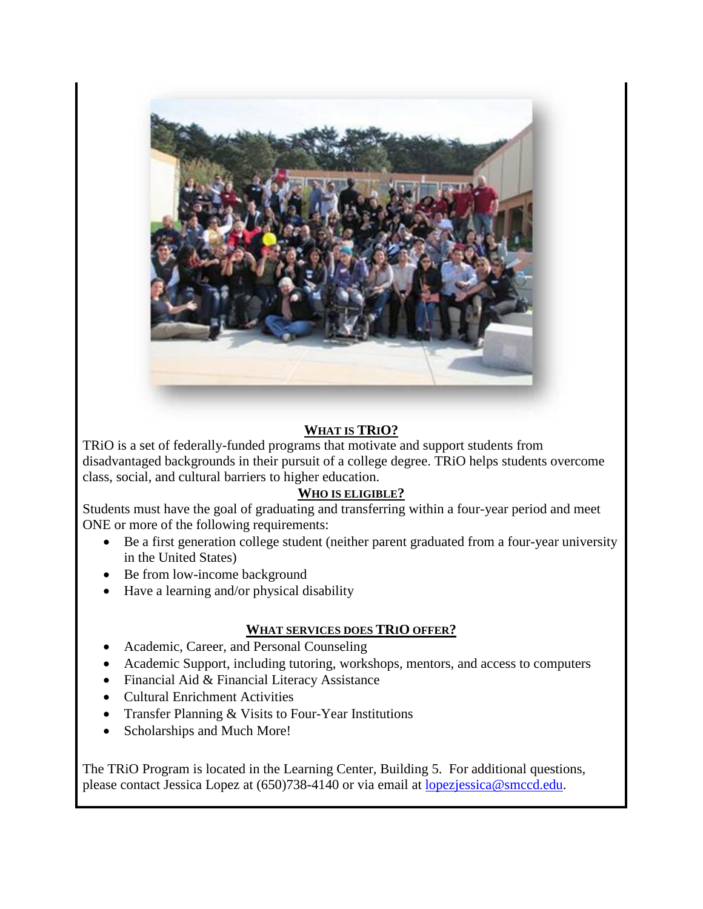

### **WHAT IS TRIO?**

TRiO is a set of federally-funded programs that motivate and support students from disadvantaged backgrounds in their pursuit of a college degree. TRiO helps students overcome class, social, and cultural barriers to higher education.

### **WHO IS ELIGIBLE?**

Students must have the goal of graduating and transferring within a four-year period and meet ONE or more of the following requirements:

- Be a first generation college student (neither parent graduated from a four-year university in the United States)
- Be from low-income background
- Have a learning and/or physical disability

### **WHAT SERVICES DOES TRIO OFFER?**

- Academic, Career, and Personal Counseling
- Academic Support, including tutoring, workshops, mentors, and access to computers
- Financial Aid & Financial Literacy Assistance
- Cultural Enrichment Activities
- Transfer Planning & Visits to Four-Year Institutions
- Scholarships and Much More!

The TRiO Program is located in the Learning Center, Building 5. For additional questions, please contact Jessica Lopez at (650)738-4140 or via email at [lopezjessica@smccd.edu.](mailto:lopezjessica@smccd.edu)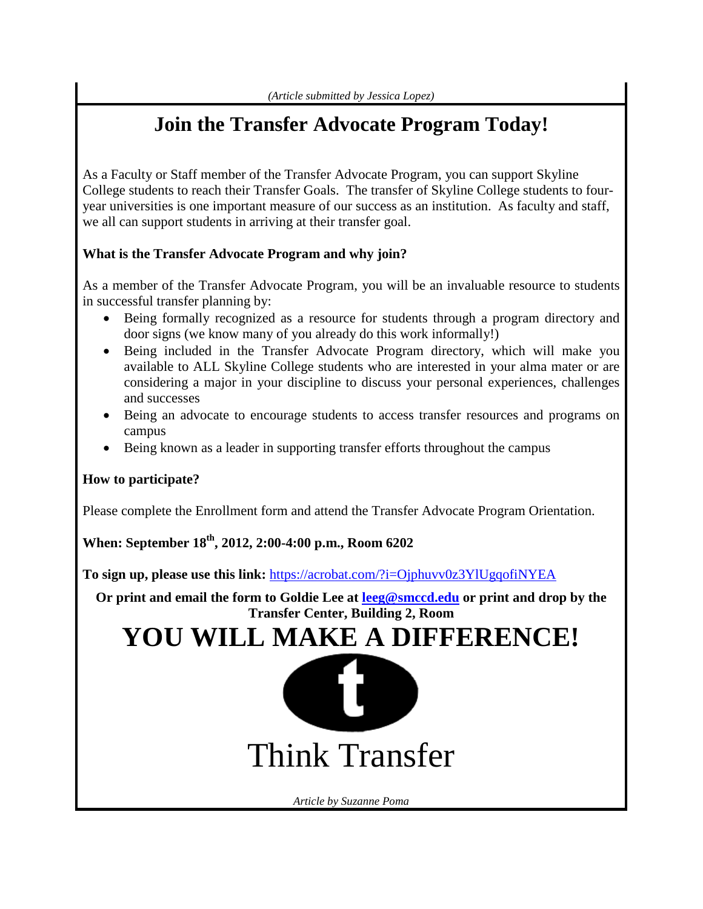# **Join the Transfer Advocate Program Today!**

As a Faculty or Staff member of the Transfer Advocate Program, you can support Skyline College students to reach their Transfer Goals. The transfer of Skyline College students to fouryear universities is one important measure of our success as an institution. As faculty and staff, we all can support students in arriving at their transfer goal.

### **What is the Transfer Advocate Program and why join?**

As a member of the Transfer Advocate Program, you will be an invaluable resource to students in successful transfer planning by:

- Being formally recognized as a resource for students through a program directory and door signs (we know many of you already do this work informally!)
- Being included in the Transfer Advocate Program directory, which will make you available to ALL Skyline College students who are interested in your alma mater or are considering a major in your discipline to discuss your personal experiences, challenges and successes
- Being an advocate to encourage students to access transfer resources and programs on campus
- Being known as a leader in supporting transfer efforts throughout the campus

### **How to participate?**

Please complete the Enrollment form and attend the Transfer Advocate Program Orientation.

### **When: September 18th, 2012, 2:00-4:00 p.m., Room 6202**

**To sign up, please use this link:** <https://acrobat.com/?i=Ojphuvv0z3YlUgqofiNYEA>

**Or print and email the form to Goldie Lee at [leeg@smccd.edu](mailto:leeg@smccd.edu) or print and drop by the Transfer Center, Building 2, Room**

# **YOU WILL MAKE A DIFFERENCE!**



*Article by Suzanne Poma*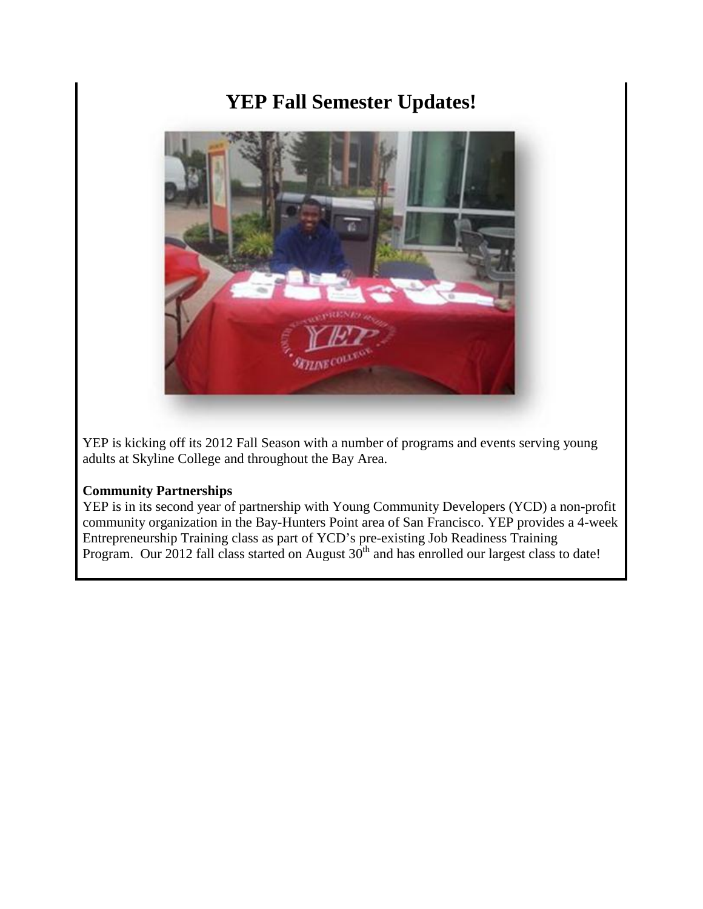# **YEP Fall Semester Updates!**



YEP is kicking off its 2012 Fall Season with a number of programs and events serving young adults at Skyline College and throughout the Bay Area.

#### **Community Partnerships**

YEP is in its second year of partnership with Young Community Developers (YCD) a non-profit community organization in the Bay-Hunters Point area of San Francisco. YEP provides a 4-week Entrepreneurship Training class as part of YCD's pre-existing Job Readiness Training Program. Our 2012 fall class started on August  $30<sup>th</sup>$  and has enrolled our largest class to date!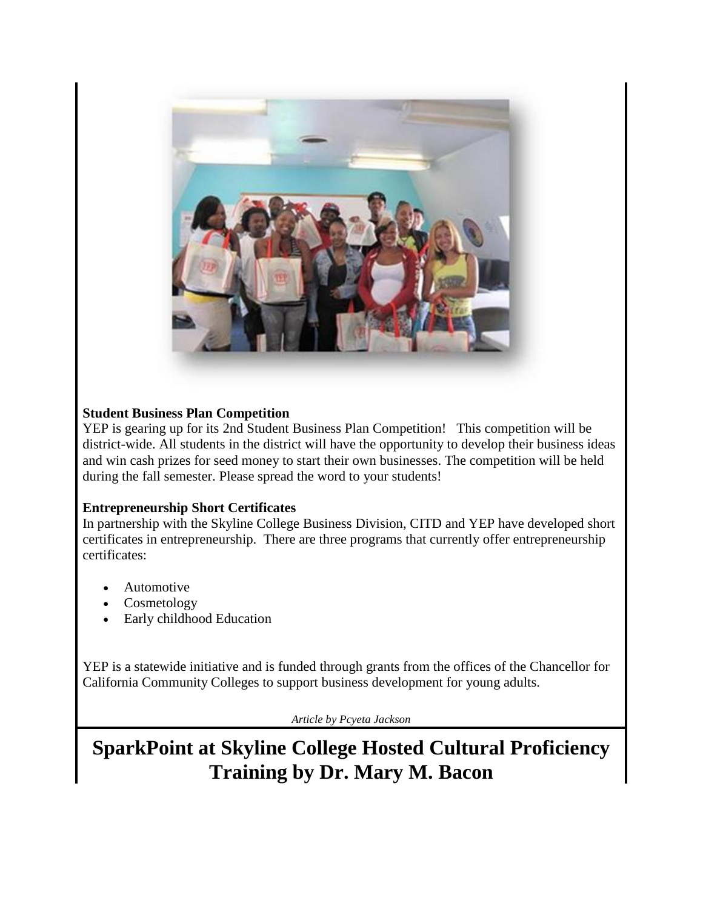

### **Student Business Plan Competition**

YEP is gearing up for its 2nd Student Business Plan Competition! This competition will be district-wide. All students in the district will have the opportunity to develop their business ideas and win cash prizes for seed money to start their own businesses. The competition will be held during the fall semester. Please spread the word to your students!

### **Entrepreneurship Short Certificates**

In partnership with the Skyline College Business Division, CITD and YEP have developed short certificates in entrepreneurship. There are three programs that currently offer entrepreneurship certificates:

- Automotive
- **Cosmetology**
- Early childhood Education

YEP is a statewide initiative and is funded through grants from the offices of the Chancellor for California Community Colleges to support business development for young adults.

*Article by Pcyeta Jackson*

**SparkPoint at Skyline College Hosted Cultural Proficiency Training by Dr. Mary M. Bacon**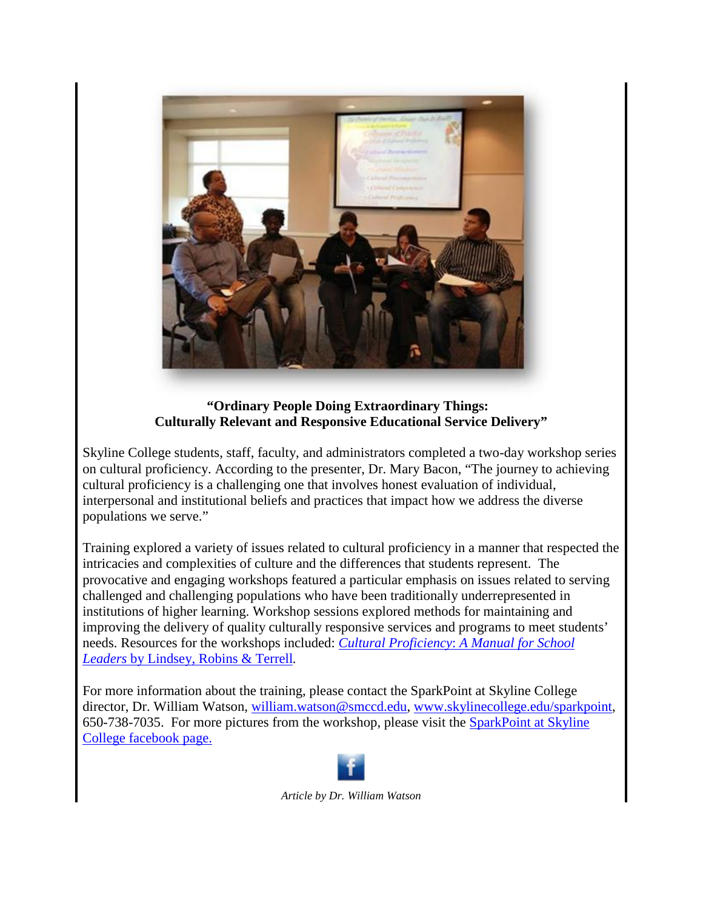

#### **"Ordinary People Doing Extraordinary Things: Culturally Relevant and Responsive Educational Service Delivery"**

Skyline College students, staff, faculty, and administrators completed a two-day workshop series on cultural proficiency. According to the presenter, Dr. Mary Bacon, "The journey to achieving cultural proficiency is a challenging one that involves honest evaluation of individual, interpersonal and institutional beliefs and practices that impact how we address the diverse populations we serve."

Training explored a variety of issues related to cultural proficiency in a manner that respected the intricacies and complexities of culture and the differences that students represent. The provocative and engaging workshops featured a particular emphasis on issues related to serving challenged and challenging populations who have been traditionally underrepresented in institutions of higher learning. Workshop sessions explored methods for maintaining and improving the delivery of quality culturally responsive services and programs to meet students' needs. Resources for the workshops included: *Cultural Proficiency*: *[A Manual for School](http://www.amazon.com/Cultural-Proficiency-Manual-School-Leaders/dp/141296363X)  Leaders* [by Lindsey, Robins & Terrell](http://www.amazon.com/Cultural-Proficiency-Manual-School-Leaders/dp/141296363X)*.* 

For more information about the training, please contact the SparkPoint at Skyline College director, Dr. William Watson, [william.watson@smccd.edu,](mailto:william.watson@smccd.edu) [www.skylinecollege.edu/sparkpoint,](http://www.skylinecollege.edu/sparkpoint) 650-738-7035. For more pictures from the workshop, please visit the [SparkPoint at Skyline](http://www.facebook.com/sparkpointskyline)  [College facebook page.](http://www.facebook.com/sparkpointskyline)



*Article by Dr. William Watson*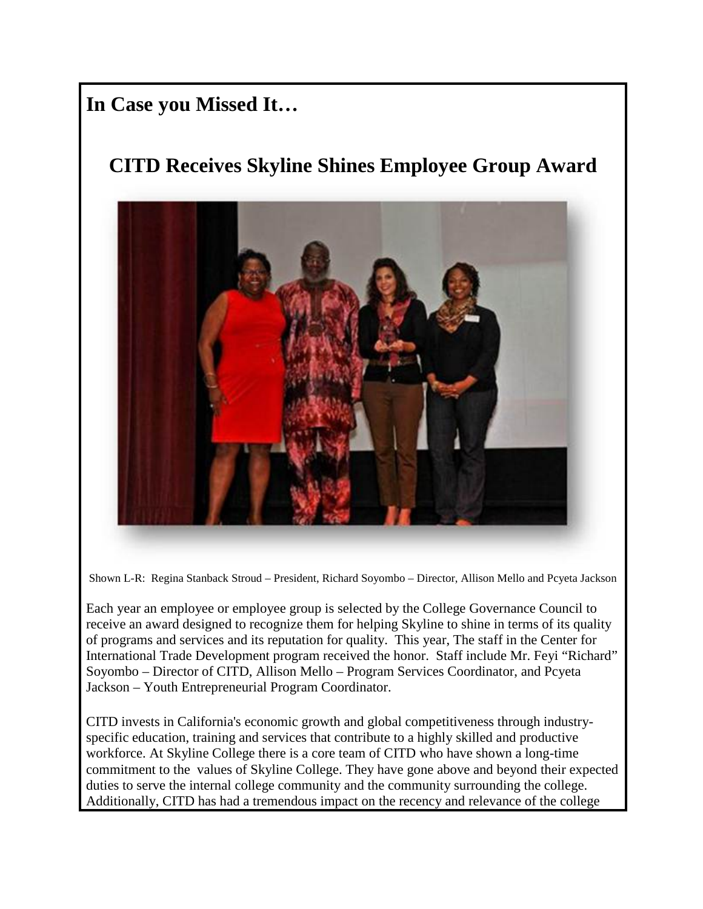### **In Case you Missed It…**

# **CITD Receives Skyline Shines Employee Group Award**



Shown L-R: Regina Stanback Stroud – President, Richard Soyombo – Director, Allison Mello and Pcyeta Jackson

Each year an employee or employee group is selected by the College Governance Council to receive an award designed to recognize them for helping Skyline to shine in terms of its quality of programs and services and its reputation for quality. This year, The staff in the Center for International Trade Development program received the honor. Staff include Mr. Feyi "Richard" Soyombo – Director of CITD, Allison Mello – Program Services Coordinator, and Pcyeta Jackson – Youth Entrepreneurial Program Coordinator.

CITD invests in California's economic growth and global competitiveness through industryspecific education, training and services that contribute to a highly skilled and productive workforce. At Skyline College there is a core team of CITD who have shown a long-time commitment to the values of Skyline College. They have gone above and beyond their expected duties to serve the internal college community and the community surrounding the college. Additionally, CITD has had a tremendous impact on the recency and relevance of the college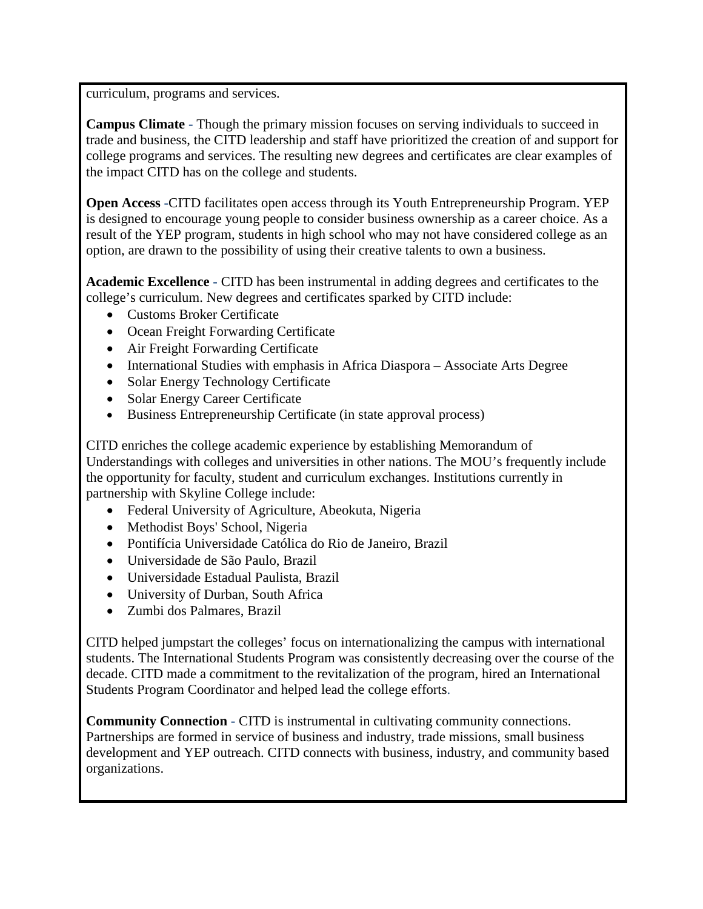curriculum, programs and services.

**Campus Climate -** Though the primary mission focuses on serving individuals to succeed in trade and business, the CITD leadership and staff have prioritized the creation of and support for college programs and services. The resulting new degrees and certificates are clear examples of the impact CITD has on the college and students.

**Open Access -**CITD facilitates open access through its Youth Entrepreneurship Program. YEP is designed to encourage young people to consider business ownership as a career choice. As a result of the YEP program, students in high school who may not have considered college as an option, are drawn to the possibility of using their creative talents to own a business.

**Academic Excellence -** CITD has been instrumental in adding degrees and certificates to the college's curriculum. New degrees and certificates sparked by CITD include:

- Customs Broker Certificate
- Ocean Freight Forwarding Certificate
- Air Freight Forwarding Certificate
- International Studies with emphasis in Africa Diaspora Associate Arts Degree
- Solar Energy Technology Certificate
- Solar Energy Career Certificate
- Business Entrepreneurship Certificate (in state approval process)

CITD enriches the college academic experience by establishing Memorandum of Understandings with colleges and universities in other nations. The MOU's frequently include the opportunity for faculty, student and curriculum exchanges. Institutions currently in partnership with Skyline College include:

- Federal University of Agriculture, Abeokuta, Nigeria
- Methodist Boys' School, Nigeria
- Pontifícia Universidade Católica do Rio de Janeiro, Brazil
- Universidade de São Paulo, Brazil
- Universidade Estadual Paulista, Brazil
- University of Durban, South Africa
- Zumbi dos Palmares, Brazil

CITD helped jumpstart the colleges' focus on internationalizing the campus with international students. The International Students Program was consistently decreasing over the course of the decade. CITD made a commitment to the revitalization of the program, hired an International Students Program Coordinator and helped lead the college efforts.

**Community Connection -** CITD is instrumental in cultivating community connections. Partnerships are formed in service of business and industry, trade missions, small business development and YEP outreach. CITD connects with business, industry, and community based organizations.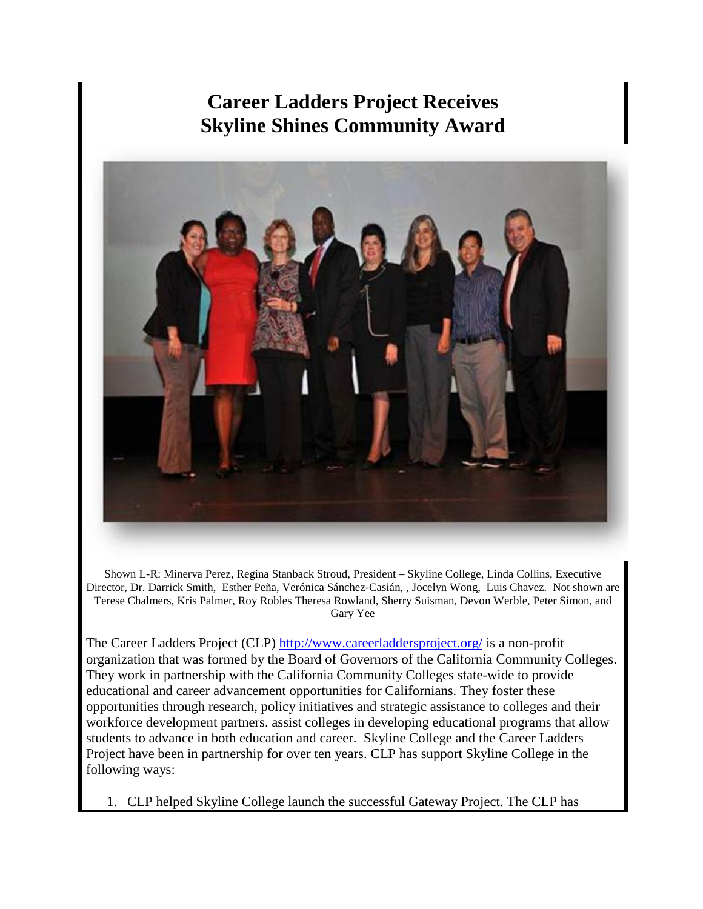## **Career Ladders Project Receives Skyline Shines Community Award**

<span id="page-15-0"></span>

Shown L-R: Minerva Perez, Regina Stanback Stroud, President – Skyline College, Linda Collins, Executive Director, Dr. Darrick Smith, Esther Peña, Verónica Sánchez-Casián, , Jocelyn Wong, Luis Chavez. Not shown are Terese Chalmers, Kris Palmer, Roy Robles Theresa Rowland, Sherry Suisman, Devon Werble, Peter Simon, and Gary Yee

The Career Ladders Project (CLP)<http://www.careerladdersproject.org/> is a non-profit organization that was formed by the Board of Governors of the California Community Colleges. They work in partnership with the California Community Colleges state-wide to provide educational and career advancement opportunities for Californians. They foster these opportunities through research, policy initiatives and strategic assistance to colleges and their workforce development partners. assist colleges in developing educational programs that allow students to advance in both education and career. Skyline College and the Career Ladders Project have been in partnership for over ten years. CLP has support Skyline College in the following ways:

1. CLP helped Skyline College launch the successful Gateway Project. The CLP has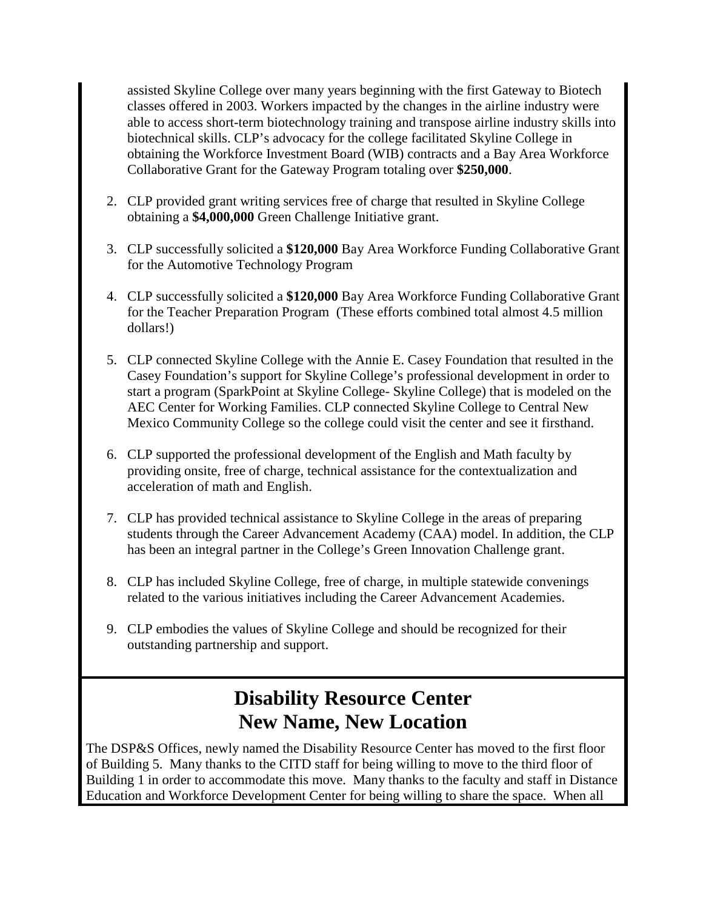assisted Skyline College over many years beginning with the first Gateway to Biotech classes offered in 2003. Workers impacted by the changes in the airline industry were able to access short-term biotechnology training and transpose airline industry skills into biotechnical skills. CLP's advocacy for the college facilitated Skyline College in obtaining the Workforce Investment Board (WIB) contracts and a Bay Area Workforce Collaborative Grant for the Gateway Program totaling over **\$250,000**.

- 2. CLP provided grant writing services free of charge that resulted in Skyline College obtaining a **\$4,000,000** Green Challenge Initiative grant.
- 3. CLP successfully solicited a **\$120,000** Bay Area Workforce Funding Collaborative Grant for the Automotive Technology Program
- 4. CLP successfully solicited a **\$120,000** Bay Area Workforce Funding Collaborative Grant for the Teacher Preparation Program (These efforts combined total almost 4.5 million dollars!)
- 5. CLP connected Skyline College with the Annie E. Casey Foundation that resulted in the Casey Foundation's support for Skyline College's professional development in order to start a program (SparkPoint at Skyline College- Skyline College) that is modeled on the AEC Center for Working Families. CLP connected Skyline College to Central New Mexico Community College so the college could visit the center and see it firsthand.
- 6. CLP supported the professional development of the English and Math faculty by providing onsite, free of charge, technical assistance for the contextualization and acceleration of math and English.
- 7. CLP has provided technical assistance to Skyline College in the areas of preparing students through the Career Advancement Academy (CAA) model. In addition, the CLP has been an integral partner in the College's Green Innovation Challenge grant.
- 8. CLP has included Skyline College, free of charge, in multiple statewide convenings related to the various initiatives including the Career Advancement Academies.
- 9. CLP embodies the values of Skyline College and should be recognized for their outstanding partnership and support.

# **Disability Resource Center New Name, New Location**

<span id="page-16-0"></span>The DSP&S Offices, newly named the Disability Resource Center has moved to the first floor of Building 5. Many thanks to the CITD staff for being willing to move to the third floor of Building 1 in order to accommodate this move. Many thanks to the faculty and staff in Distance Education and Workforce Development Center for being willing to share the space. When all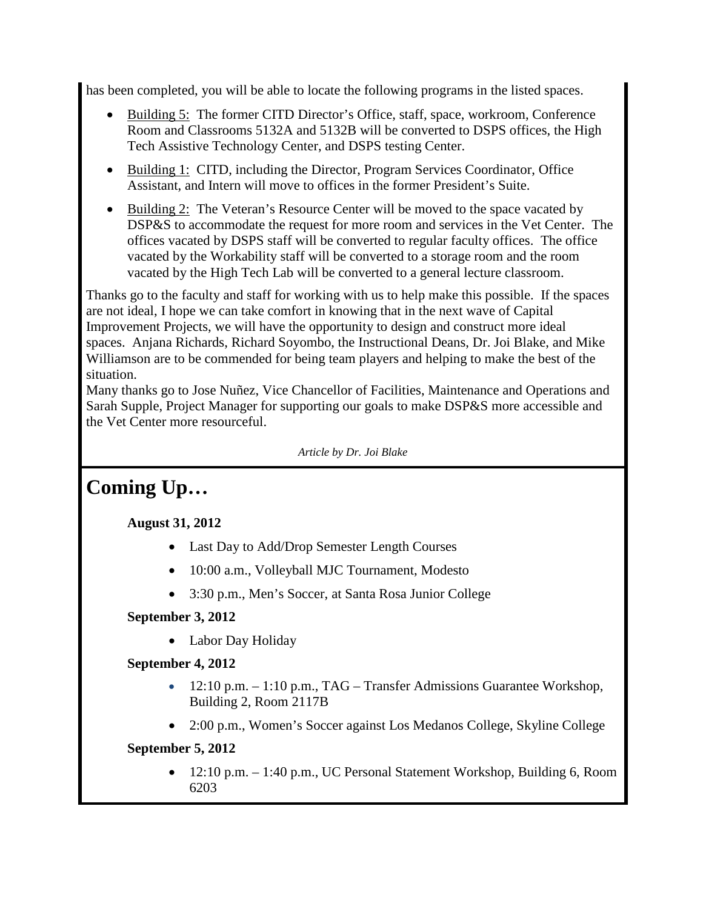has been completed, you will be able to locate the following programs in the listed spaces.

- Building 5: The former CITD Director's Office, staff, space, workroom, Conference Room and Classrooms 5132A and 5132B will be converted to DSPS offices, the High Tech Assistive Technology Center, and DSPS testing Center.
- Building 1: CITD, including the Director, Program Services Coordinator, Office Assistant, and Intern will move to offices in the former President's Suite.
- Building 2: The Veteran's Resource Center will be moved to the space vacated by DSP&S to accommodate the request for more room and services in the Vet Center. The offices vacated by DSPS staff will be converted to regular faculty offices. The office vacated by the Workability staff will be converted to a storage room and the room vacated by the High Tech Lab will be converted to a general lecture classroom.

Thanks go to the faculty and staff for working with us to help make this possible. If the spaces are not ideal, I hope we can take comfort in knowing that in the next wave of Capital Improvement Projects, we will have the opportunity to design and construct more ideal spaces. Anjana Richards, Richard Soyombo, the Instructional Deans, Dr. Joi Blake, and Mike Williamson are to be commended for being team players and helping to make the best of the situation.

Many thanks go to Jose Nuñez, Vice Chancellor of Facilities, Maintenance and Operations and Sarah Supple, Project Manager for supporting our goals to make DSP&S more accessible and the Vet Center more resourceful.

*Article by Dr. Joi Blake*

# <span id="page-17-0"></span>**Coming Up…**

### **August 31, 2012**

- Last Day to Add/Drop Semester Length Courses
- 10:00 a.m., Volleyball MJC Tournament, Modesto
- 3:30 p.m., Men's Soccer, at Santa Rosa Junior College

### **September 3, 2012**

• Labor Day Holiday

### **September 4, 2012**

- 12:10 p.m. 1:10 p.m., TAG Transfer Admissions Guarantee Workshop, Building 2, Room 2117B
- 2:00 p.m., Women's Soccer against Los Medanos College, Skyline College

### **September 5, 2012**

• 12:10 p.m. – 1:40 p.m., UC Personal Statement Workshop, Building 6, Room 6203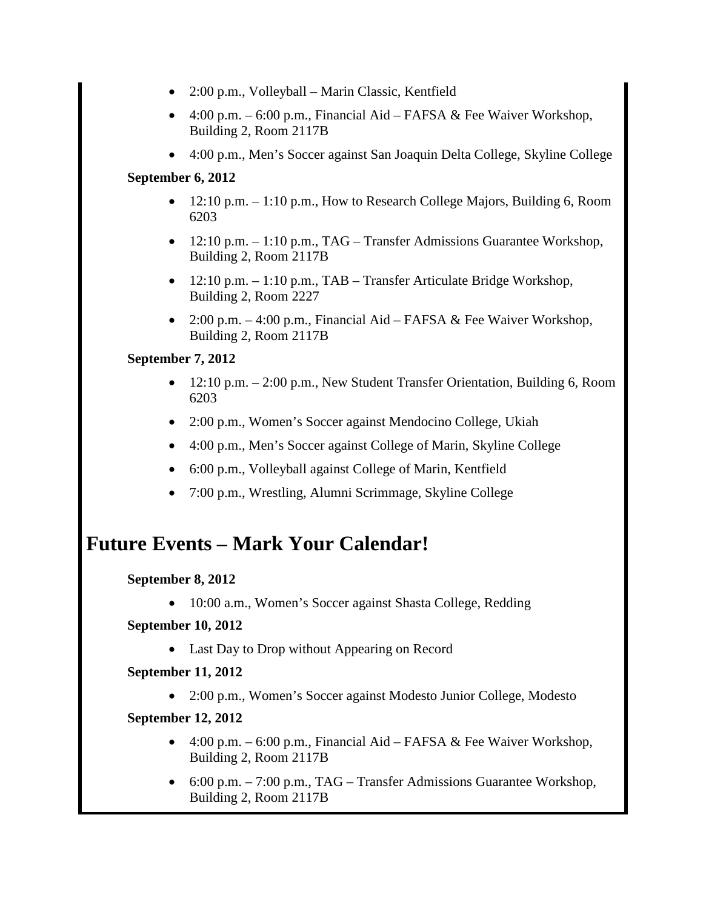- 2:00 p.m., Volleyball Marin Classic, Kentfield
- 4:00 p.m.  $-6.00$  p.m., Financial Aid FAFSA & Fee Waiver Workshop, Building 2, Room 2117B
- 4:00 p.m., Men's Soccer against San Joaquin Delta College, Skyline College

### **September 6, 2012**

- 12:10 p.m. 1:10 p.m., How to Research College Majors, Building 6, Room 6203
- 12:10 p.m.  $-1:10$  p.m., TAG Transfer Admissions Guarantee Workshop, Building 2, Room 2117B
- 12:10 p.m.  $-1:10$  p.m., TAB Transfer Articulate Bridge Workshop, Building 2, Room 2227
- 2:00 p.m.  $-4:00$  p.m., Financial Aid FAFSA & Fee Waiver Workshop, Building 2, Room 2117B

### **September 7, 2012**

- 12:10 p.m. 2:00 p.m., New Student Transfer Orientation, Building 6, Room 6203
- 2:00 p.m., Women's Soccer against Mendocino College, Ukiah
- 4:00 p.m., Men's Soccer against College of Marin, Skyline College
- 6:00 p.m., Volleyball against College of Marin, Kentfield
- 7:00 p.m., Wrestling, Alumni Scrimmage, Skyline College

# **Future Events – Mark Your Calendar!**

### **September 8, 2012**

• 10:00 a.m., Women's Soccer against Shasta College, Redding

### **September 10, 2012**

• Last Day to Drop without Appearing on Record

**September 11, 2012**

• 2:00 p.m., Women's Soccer against Modesto Junior College, Modesto

### **September 12, 2012**

- 4:00 p.m.  $-6:00$  p.m., Financial Aid FAFSA  $\&$  Fee Waiver Workshop, Building 2, Room 2117B
- 6:00 p.m. 7:00 p.m., TAG Transfer Admissions Guarantee Workshop, Building 2, Room 2117B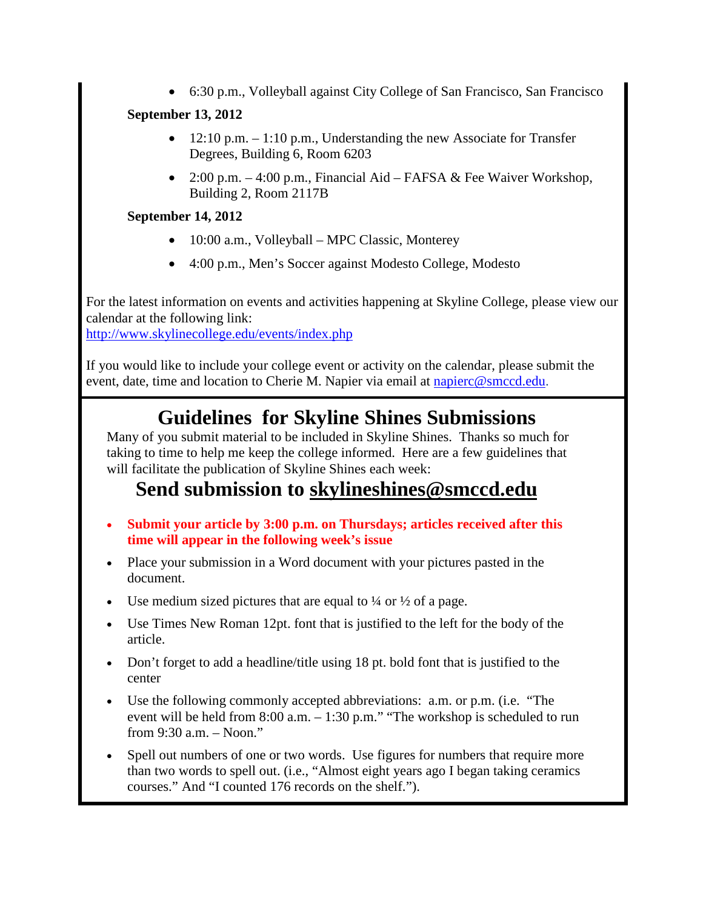• 6:30 p.m., Volleyball against City College of San Francisco, San Francisco

### **September 13, 2012**

- 12:10 p.m.  $-1:10$  p.m., Understanding the new Associate for Transfer Degrees, Building 6, Room 6203
- 2:00 p.m.  $-4:00$  p.m., Financial Aid FAFSA & Fee Waiver Workshop, Building 2, Room 2117B

### **September 14, 2012**

- 10:00 a.m., Volleyball MPC Classic, Monterey
- 4:00 p.m., Men's Soccer against Modesto College, Modesto

For the latest information on events and activities happening at Skyline College, please view our calendar at the following link:

<http://www.skylinecollege.edu/events/index.php>

If you would like to include your college event or activity on the calendar, please submit the event, date, time and location to Cherie M. Napier via email at [napierc@smccd.edu.](mailto:napierc@smccd.edu)

# **Guidelines for Skyline Shines Submissions**

<span id="page-19-0"></span>Many of you submit material to be included in Skyline Shines. Thanks so much for taking to time to help me keep the college informed. Here are a few guidelines that will facilitate the publication of Skyline Shines each week:

### **Send submission to [skylineshines@smccd.edu](mailto:skylineshines@smccd.edu)**

- **Submit your article by 3:00 p.m. on Thursdays; articles received after this time will appear in the following week's issue**
- Place your submission in a Word document with your pictures pasted in the document.
- Use medium sized pictures that are equal to  $\frac{1}{4}$  or  $\frac{1}{2}$  of a page.
- Use Times New Roman 12pt. font that is justified to the left for the body of the article.
- Don't forget to add a headline/title using 18 pt. bold font that is justified to the center
- Use the following commonly accepted abbreviations: a.m. or p.m. (i.e. "The event will be held from 8:00 a.m. – 1:30 p.m." "The workshop is scheduled to run from 9:30 a.m. – Noon."
- Spell out numbers of one or two words. Use figures for numbers that require more than two words to spell out. (i.e., "Almost eight years ago I began taking ceramics courses." And "I counted 176 records on the shelf.").